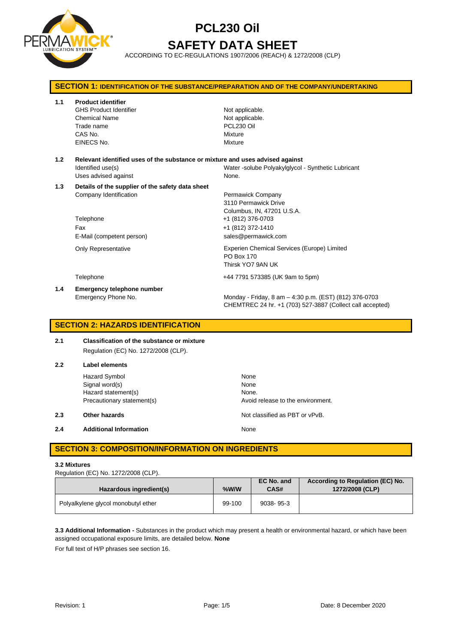

# **PCL230 Oil SAFETY DATA SHEET**

ACCORDING TO EC-REGULATIONS 1907/2006 (REACH) & 1272/2008 (CLP)

| <b>SECTION 1: IDENTIFICATION OF THE SUBSTANCE/PREPARATION AND OF THE COMPANY/UNDERTAKING</b> |                                                                                                                             |                                                                                                                                          |  |
|----------------------------------------------------------------------------------------------|-----------------------------------------------------------------------------------------------------------------------------|------------------------------------------------------------------------------------------------------------------------------------------|--|
| 1.1                                                                                          | <b>Product identifier</b><br><b>GHS Product Identifier</b><br><b>Chemical Name</b><br>Trade name<br>CAS No.<br>EINECS No.   | Not applicable.<br>Not applicable.<br>PCL230 Oil<br>Mixture<br>Mixture                                                                   |  |
| 1.2                                                                                          | Relevant identified uses of the substance or mixture and uses advised against<br>Identified use(s)<br>Uses advised against  | Water-solube Polyakylglycol - Synthetic Lubricant<br>None.                                                                               |  |
| 1.3                                                                                          | Details of the supplier of the safety data sheet<br>Company Identification<br>Telephone<br>Fax<br>E-Mail (competent person) | Permawick Company<br>3110 Permawick Drive<br>Columbus, IN, 47201 U.S.A.<br>+1 (812) 376-0703<br>+1 (812) 372-1410<br>sales@permawick.com |  |
|                                                                                              | <b>Only Representative</b>                                                                                                  | Experien Chemical Services (Europe) Limited<br>PO Box 170<br>Thirsk YO7 9AN UK                                                           |  |
|                                                                                              | Telephone                                                                                                                   | +44 7791 573385 (UK 9am to 5pm)                                                                                                          |  |
| 1.4                                                                                          | Emergency telephone number<br>Emergency Phone No.                                                                           | Monday - Friday, 8 am - 4:30 p.m. (EST) (812) 376-0703<br>CHEMTREC 24 hr. +1 (703) 527-3887 (Collect call accepted)                      |  |

## **SECTION 2: HAZARDS IDENTIFICATION**

#### **2.1 Classification of the substance or mixture** Regulation (EC) No. 1272/2008 (CLP).

| 2.2 | Label elements                |                                   |  |  |
|-----|-------------------------------|-----------------------------------|--|--|
|     | <b>Hazard Symbol</b>          | None                              |  |  |
|     | Signal word(s)                | None                              |  |  |
|     | Hazard statement(s)           | None.                             |  |  |
|     | Precautionary statement(s)    | Avoid release to the environment. |  |  |
| 2.3 | Other hazards                 | Not classified as PBT or vPvB.    |  |  |
| 2.4 | <b>Additional Information</b> | None                              |  |  |

### **SECTION 3: COMPOSITION/INFORMATION ON INGREDIENTS**

#### **3.2 Mixtures**

Regulation (EC) No. 1272/2008 (CLP).

| Hazardous ingredient(s)             | $%$ W/W | EC No. and<br>CAS# | According to Regulation (EC) No.<br>1272/2008 (CLP) |
|-------------------------------------|---------|--------------------|-----------------------------------------------------|
| Polyalkylene glycol monobutyl ether | 99-100  | $9038 - 95 - 3$    |                                                     |

**3.3 Additional Information -** Substances in the product which may present a health or environmental hazard, or which have been assigned occupational exposure limits, are detailed below. **None**

For full text of H/P phrases see section 16.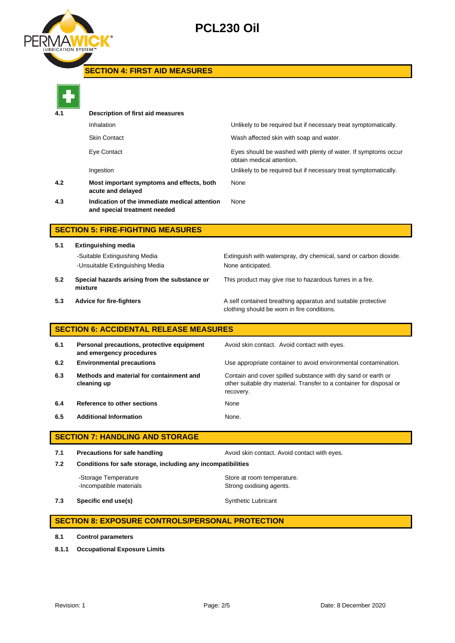

## **PCL230 Oil**

## **SECTION 4: FIRST AID MEASURES**



| 4.1 | Description of first aid measures                                             |                                                                                            |  |  |
|-----|-------------------------------------------------------------------------------|--------------------------------------------------------------------------------------------|--|--|
|     | Inhalation                                                                    | Unlikely to be required but if necessary treat symptomatically.                            |  |  |
|     | <b>Skin Contact</b>                                                           | Wash affected skin with soap and water.                                                    |  |  |
|     | Eye Contact                                                                   | Eyes should be washed with plenty of water. If symptoms occur<br>obtain medical attention. |  |  |
|     | Ingestion                                                                     | Unlikely to be required but if necessary treat symptomatically.                            |  |  |
| 4.2 | Most important symptoms and effects, both<br>acute and delayed                | None                                                                                       |  |  |
| 4.3 | Indication of the immediate medical attention<br>and special treatment needed | None                                                                                       |  |  |
|     |                                                                               |                                                                                            |  |  |

## **SECTION 5: FIRE-FIGHTING MEASURES**

**5.1 Extinguishing media** -Suitable Extinguishing Media Extinguish with waterspray, dry chemical, sand or carbon dioxide. -Unsuitable Extinguishing Media None anticipated. **5.2 Special hazards arising from the substance or mixture**

This product may give rise to hazardous fumes in a fire.

**5.3 Advice for fire-fighters A self** contained breathing apparatus and suitable protective clothing should be worn in fire conditions.

## **SECTION 6: ACCIDENTAL RELEASE MEASURES**

| 6.1 | Personal precautions, protective equipment<br>and emergency procedures | Avoid skin contact. Avoid contact with eyes.                                                                                                       |
|-----|------------------------------------------------------------------------|----------------------------------------------------------------------------------------------------------------------------------------------------|
| 6.2 | <b>Environmental precautions</b>                                       | Use appropriate container to avoid environmental contamination.                                                                                    |
| 6.3 | Methods and material for containment and<br>cleaning up                | Contain and cover spilled substance with dry sand or earth or<br>other suitable dry material. Transfer to a container for disposal or<br>recovery. |
| 6.4 | Reference to other sections                                            | None                                                                                                                                               |
| 6.5 | <b>Additional Information</b>                                          | None.                                                                                                                                              |

## **SECTION 7: HANDLING AND STORAGE**

**7.1 Precautions for safe handling Avoid skin contact. Avoid contact with eyes. 7.2 Conditions for safe storage, including any incompatibilities** -Storage Temperature **Store at room temperature.** 

-Incompatible materials **Strong oxidising agents**.

**7.3 Specific end use(s)** Synthetic Lubricant

## **SECTION 8: EXPOSURE CONTROLS/PERSONAL PROTECTION**

- **8.1 Control parameters**
- **8.1.1 Occupational Exposure Limits**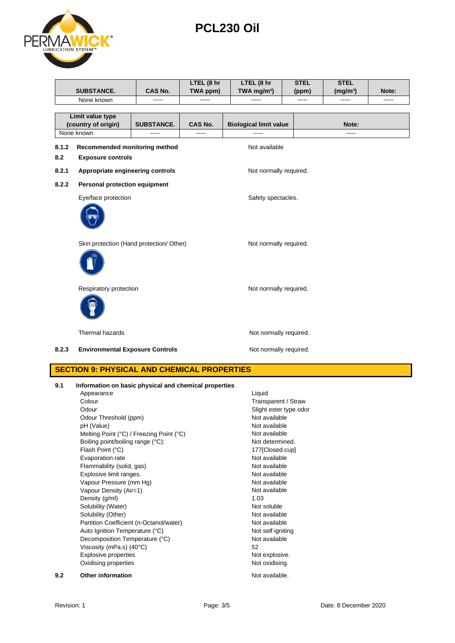| Page: 3/ |  |
|----------|--|
|          |  |

#### Revision: 1 **Page: 3/5** Page: 3/5 Date: 8 December 2020

|       | Thermal hazards                                       | Not normally required. |
|-------|-------------------------------------------------------|------------------------|
| 8.2.3 | <b>Environmental Exposure Controls</b>                | Not normally required. |
|       | <b>SECTION 9: PHYSICAL AND CHEMICAL PROPERTIES</b>    |                        |
| 9.1   | Information on basic physical and chemical properties |                        |
|       | Appearance                                            | Liquid                 |
|       | Colour                                                | Transparent / Straw    |
|       | Odour                                                 | Slight ester type odor |
|       | Odour Threshold (ppm)                                 | Not available          |
|       | pH (Value)                                            | Not available          |
|       | Melting Point (°C) / Freezing Point (°C)              | Not available          |
|       | Boiling point/boiling range (°C):                     | Not determined.        |
|       | Flash Point (°C)                                      | 177 [Closed cup]       |
|       | Evaporation rate                                      | Not available          |
|       | Flammability (solid, gas)                             | Not available          |
|       | Explosive limit ranges.                               | Not available          |
|       | Vapour Pressure (mm Hg)                               | Not available          |
|       | Vapour Density (Air=1)                                | Not available          |
|       | Density (g/ml)                                        | 1.03                   |
|       | Solubility (Water)                                    | Not soluble            |
|       | Solubility (Other)                                    | Not available          |
|       | Partition Coefficient (n-Octanol/water)               | Not available          |
|       | Auto Ignition Temperature (°C)                        | Not self igniting      |
|       | Decomposition Temperature (°C)                        | Not available          |
|       | Viscosity (mPa.s) (40°C)                              | 52                     |
|       | <b>Explosive properties</b>                           | Not explosive.         |
|       | Oxidising properties                                  | Not oxidising.         |
| 9.2   | Other information                                     | Not available.         |

| Limit value type<br>(country of origin)<br>None known |                                                           | <b>SUBSTANCE.</b>                        | <b>CAS No.</b><br>----- | <b>Biological limit value</b> | Note: |
|-------------------------------------------------------|-----------------------------------------------------------|------------------------------------------|-------------------------|-------------------------------|-------|
| 8.1.2<br>8.2                                          | Recommended monitoring method<br><b>Exposure controls</b> |                                          |                         | Not available                 |       |
| 8.2.1                                                 | Appropriate engineering controls                          |                                          |                         | Not normally required.        |       |
| 8.2.2                                                 | Personal protection equipment<br>Eye/face protection      |                                          |                         | Safety spectacles.            |       |
|                                                       |                                                           | Skin protection (Hand protection/ Other) |                         | Not normally required.        |       |
|                                                       | Respiratory protection                                    |                                          |                         | Not normally required.        |       |
|                                                       |                                                           |                                          |                         |                               |       |

**LTEL (8 hr TWA ppm)**



**SUBSTANCE. CAS No.**

**PCL230 Oil**

None known ----- ----- ----- ----- ----- -----

**LTEL (8 hr TWA mg/m³)** **STEL (ppm)** **STEL** 

**(mg/m³) Note:**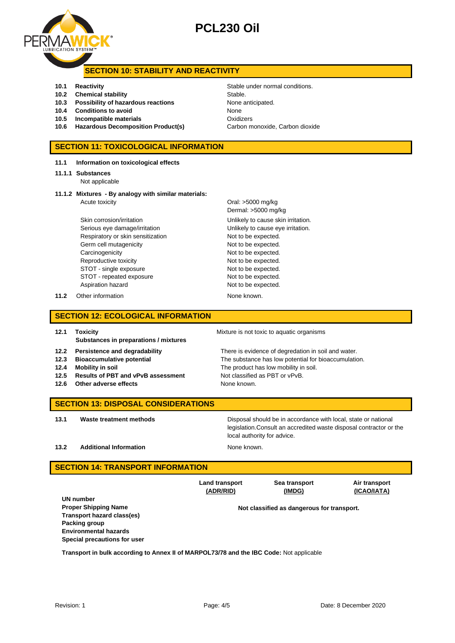## **PCL230 Oil**

### **SECTION 10: STABILITY AND REACTIVITY**

- **10.1 Reactivity 10.1 Reactivity 10.1 Reactivity Stable under normal conditions.**
- **10.2 Chemical stability** Stable
- **10.3 Possibility of hazardous reactions** None anticipated.
- **10.4 Conditions to avoid** None
- **10.5 Incompatible materials** Oxidizers
- **10.6 Hazardous Decomposition Product(s)** Carbon monoxide, Carbon dioxide

#### **SECTION 11: TOXICOLOGICAL INFORMATION**

- **11.1 Information on toxicological effects**
- **11.1.1 Substances**
	- Not applicable
- **11.1.2 Mixtures - By analogy with similar materials:** Acute toxicity **Acute in the Contract Acute of the Contract Oral:** >5000 mg/kg

Skin corrosion/irritation extended to the Unlikely to cause skin irritation. Serious eye damage/irritation **Exercise 20** Unlikely to cause eye irritation. Respiratory or skin sensitization Not to be expected. Germ cell mutagenicity **Not to be expected.** Carcinogenicity **Not to be expected.** Reproductive toxicity Not to be expected. STOT - single exposure Not to be expected. STOT - repeated exposure Not to be expected. Aspiration hazard Not to be expected.

**11.2** Other information None known.

Dermal: >5000 mg/kg

# **SECTION 12: ECOLOGICAL INFORMATION**

**12.1 Toxicity 12.1 Toxicity 12.1 Toxicity Mixture is not toxic to aquatic organisms Substances in preparations / mixtures**

**12.2 Persistence and degradability** There is evidence of degredation in soil and water. **12.3 Bioaccumulative potential** The substance has low potential for bioaccumulation. **12.4 Mobility in soil** The product has low mobility in soil. **12.5 Results of PBT and vPvB assessment** Not classified as PBT or vPvB. **12.6** Other adverse effects None known.

> **Sea transport (IMDG)**

#### **SECTION 13: DISPOSAL CONSIDERATIONS**

**13.1 Waste treatment methods Disposal should be in accordance with local, state or national** legislation.Consult an accredited waste disposal contractor or the local authority for advice.

**13.2 Additional Information None known. None known.** 

#### **SECTION 14: TRANSPORT INFORMATION**

**UN number Proper Shipping Name Not classified as dangerous for transport. Transport hazard class(es) Packing group Environmental hazards Special precautions for user**

**Land transport (ADR/RID)**

**Transport in bulk according to Annex II of MARPOL73/78 and the IBC Code:** Not applicable



**Air transport (ICAO/IATA)**